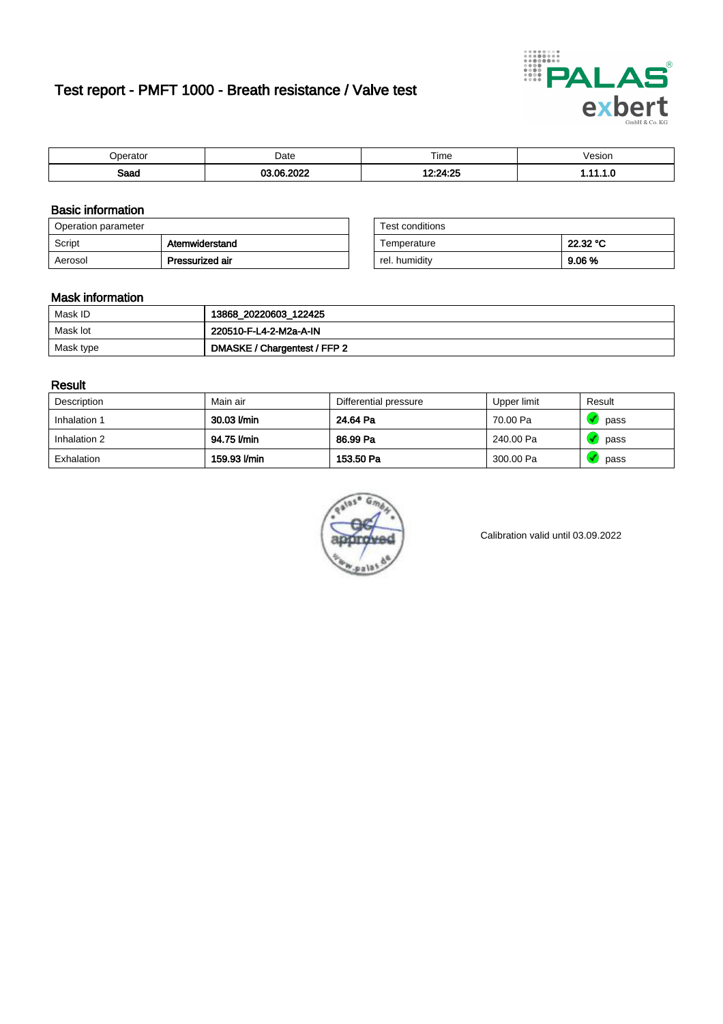# Test report - PMFT 1000 - Breath resistance / Valve test



| 10000000            | Date  | $- \cdot$<br>Time<br>. | /esion<br>. |
|---------------------|-------|------------------------|-------------|
| <b>Room</b><br>oaau | $  -$ | $-2$<br>- ייני         | .           |

### Basic information

| Operation parameter |                 | Test conditions |          |
|---------------------|-----------------|-----------------|----------|
| Script              | Atemwiderstand  | Temperature     | 22.32 °C |
| Aerosol             | Pressurized air | rel. humiditv   | 9.06%    |

| Test conditions |          |
|-----------------|----------|
| Temperature     | 22.32 °C |
| rel. humidity   | 9.06%    |

#### Mask information

| Mask ID   | 13868_20220603_122425        |
|-----------|------------------------------|
| Mask lot  | 220510-F-L4-2-M2a-A-IN       |
| Mask type | DMASKE / Chargentest / FFP 2 |

### Result

| Description  | Main air     | Differential pressure | Upper limit | Result |
|--------------|--------------|-----------------------|-------------|--------|
| Inhalation 1 | 30.03 l/min  | 24.64 Pa              | 70.00 Pa    | pass   |
| Inhalation 2 | 94.75 l/min  | 86.99 Pa              | 240.00 Pa   | pass   |
| Exhalation   | 159.93 l/min | 153.50 Pa             | 300.00 Pa   | pass   |



Calibration valid until 03.09.2022